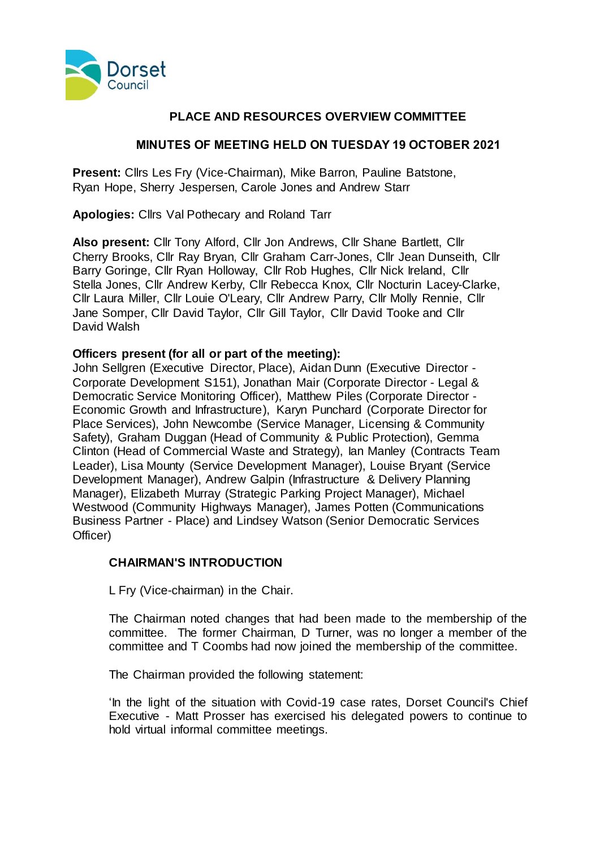

# **PLACE AND RESOURCES OVERVIEW COMMITTEE**

# **MINUTES OF MEETING HELD ON TUESDAY 19 OCTOBER 2021**

**Present:** Cllrs Les Fry (Vice-Chairman), Mike Barron, Pauline Batstone, Ryan Hope, Sherry Jespersen, Carole Jones and Andrew Starr

**Apologies:** Cllrs Val Pothecary and Roland Tarr

**Also present:** Cllr Tony Alford, Cllr Jon Andrews, Cllr Shane Bartlett, Cllr Cherry Brooks, Cllr Ray Bryan, Cllr Graham Carr-Jones, Cllr Jean Dunseith, Cllr Barry Goringe, Cllr Ryan Holloway, Cllr Rob Hughes, Cllr Nick Ireland, Cllr Stella Jones, Cllr Andrew Kerby, Cllr Rebecca Knox, Cllr Nocturin Lacey-Clarke, Cllr Laura Miller, Cllr Louie O'Leary, Cllr Andrew Parry, Cllr Molly Rennie, Cllr Jane Somper, Cllr David Taylor, Cllr Gill Taylor, Cllr David Tooke and Cllr David Walsh

### **Officers present (for all or part of the meeting):**

John Sellgren (Executive Director, Place), Aidan Dunn (Executive Director - Corporate Development S151), Jonathan Mair (Corporate Director - Legal & Democratic Service Monitoring Officer), Matthew Piles (Corporate Director - Economic Growth and Infrastructure), Karyn Punchard (Corporate Director for Place Services), John Newcombe (Service Manager, Licensing & Community Safety), Graham Duggan (Head of Community & Public Protection), Gemma Clinton (Head of Commercial Waste and Strategy), Ian Manley (Contracts Team Leader), Lisa Mounty (Service Development Manager), Louise Bryant (Service Development Manager), Andrew Galpin (Infrastructure & Delivery Planning Manager), Elizabeth Murray (Strategic Parking Project Manager), Michael Westwood (Community Highways Manager), James Potten (Communications Business Partner - Place) and Lindsey Watson (Senior Democratic Services Officer)

# **CHAIRMAN'S INTRODUCTION**

L Fry (Vice-chairman) in the Chair.

The Chairman noted changes that had been made to the membership of the committee. The former Chairman, D Turner, was no longer a member of the committee and T Coombs had now joined the membership of the committee.

The Chairman provided the following statement:

'In the light of the situation with Covid-19 case rates, Dorset Council's Chief Executive - Matt Prosser has exercised his delegated powers to continue to hold virtual informal committee meetings.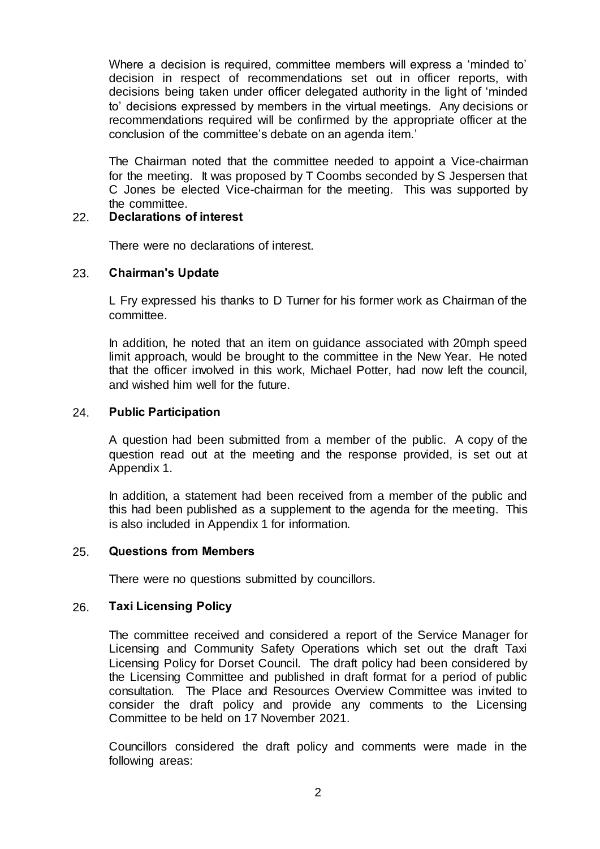Where a decision is required, committee members will express a 'minded to' decision in respect of recommendations set out in officer reports, with decisions being taken under officer delegated authority in the light of 'minded to' decisions expressed by members in the virtual meetings. Any decisions or recommendations required will be confirmed by the appropriate officer at the conclusion of the committee's debate on an agenda item.'

The Chairman noted that the committee needed to appoint a Vice-chairman for the meeting. It was proposed by T Coombs seconded by S Jespersen that C Jones be elected Vice-chairman for the meeting. This was supported by the committee.

# 22. **Declarations of interest**

There were no declarations of interest.

### 23. **Chairman's Update**

L Fry expressed his thanks to D Turner for his former work as Chairman of the committee.

In addition, he noted that an item on guidance associated with 20mph speed limit approach, would be brought to the committee in the New Year. He noted that the officer involved in this work, Michael Potter, had now left the council, and wished him well for the future.

### 24. **Public Participation**

A question had been submitted from a member of the public. A copy of the question read out at the meeting and the response provided, is set out at Appendix 1.

In addition, a statement had been received from a member of the public and this had been published as a supplement to the agenda for the meeting. This is also included in Appendix 1 for information.

#### 25. **Questions from Members**

There were no questions submitted by councillors.

#### 26. **Taxi Licensing Policy**

The committee received and considered a report of the Service Manager for Licensing and Community Safety Operations which set out the draft Taxi Licensing Policy for Dorset Council. The draft policy had been considered by the Licensing Committee and published in draft format for a period of public consultation. The Place and Resources Overview Committee was invited to consider the draft policy and provide any comments to the Licensing Committee to be held on 17 November 2021.

Councillors considered the draft policy and comments were made in the following areas: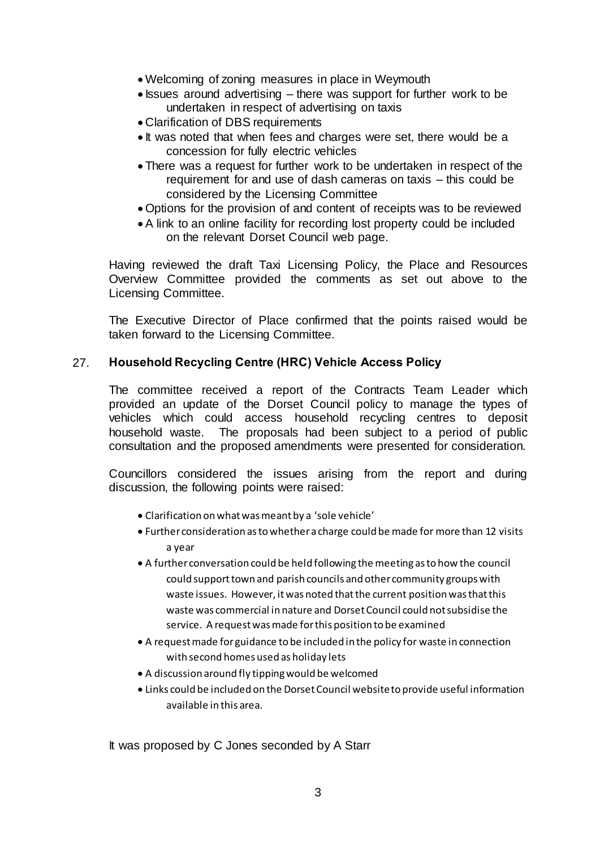- Welcoming of zoning measures in place in Weymouth
- $\bullet$  Issues around advertising there was support for further work to be undertaken in respect of advertising on taxis
- Clarification of DBS requirements
- It was noted that when fees and charges were set, there would be a concession for fully electric vehicles
- There was a request for further work to be undertaken in respect of the requirement for and use of dash cameras on taxis – this could be considered by the Licensing Committee
- Options for the provision of and content of receipts was to be reviewed
- A link to an online facility for recording lost property could be included on the relevant Dorset Council web page.

Having reviewed the draft Taxi Licensing Policy, the Place and Resources Overview Committee provided the comments as set out above to the Licensing Committee.

The Executive Director of Place confirmed that the points raised would be taken forward to the Licensing Committee.

# 27. **Household Recycling Centre (HRC) Vehicle Access Policy**

The committee received a report of the Contracts Team Leader which provided an update of the Dorset Council policy to manage the types of vehicles which could access household recycling centres to deposit household waste. The proposals had been subject to a period of public consultation and the proposed amendments were presented for consideration.

Councillors considered the issues arising from the report and during discussion, the following points were raised:

- Clarification on what was meant by a 'sole vehicle'
- Further consideration as to whether a charge could be made for more than 12 visits a year
- A further conversation could be held following the meeting as to how the council could support town and parish councils and other community groups with waste issues. However, it was noted that the current position was that this waste was commercial in nature and Dorset Council could not subsidise the service. A request was made for this position to be examined
- A request made for guidance to be included in the policy for waste in connection with second homes used as holiday lets
- A discussion around fly tipping would be welcomed
- Links could be included on the Dorset Council website to provide useful information available in this area.

It was proposed by C Jones seconded by A Starr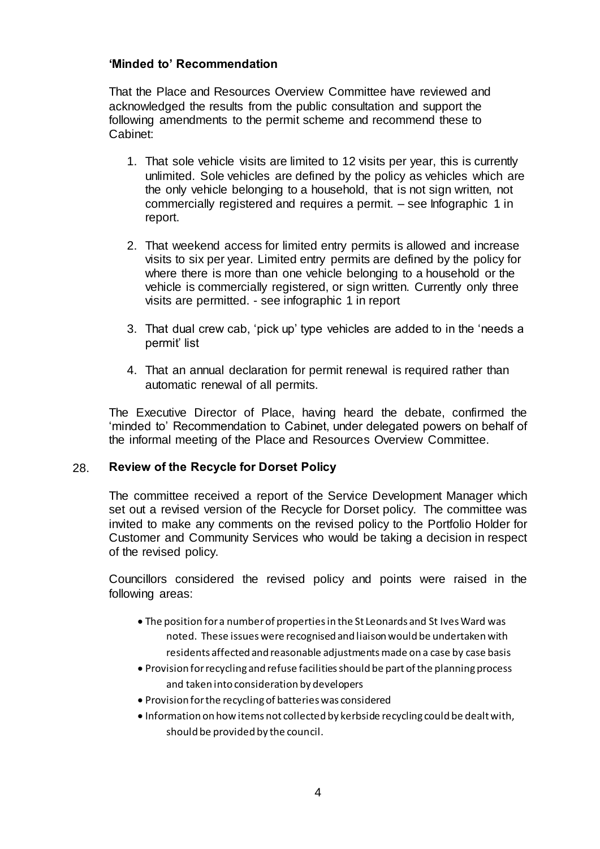# **'Minded to' Recommendation**

That the Place and Resources Overview Committee have reviewed and acknowledged the results from the public consultation and support the following amendments to the permit scheme and recommend these to Cabinet:

- 1. That sole vehicle visits are limited to 12 visits per year, this is currently unlimited. Sole vehicles are defined by the policy as vehicles which are the only vehicle belonging to a household, that is not sign written, not commercially registered and requires a permit. – see Infographic 1 in report.
- 2. That weekend access for limited entry permits is allowed and increase visits to six per year. Limited entry permits are defined by the policy for where there is more than one vehicle belonging to a household or the vehicle is commercially registered, or sign written. Currently only three visits are permitted. - see infographic 1 in report
- 3. That dual crew cab, 'pick up' type vehicles are added to in the 'needs a permit' list
- 4. That an annual declaration for permit renewal is required rather than automatic renewal of all permits.

The Executive Director of Place, having heard the debate, confirmed the 'minded to' Recommendation to Cabinet, under delegated powers on behalf of the informal meeting of the Place and Resources Overview Committee.

# 28. **Review of the Recycle for Dorset Policy**

The committee received a report of the Service Development Manager which set out a revised version of the Recycle for Dorset policy. The committee was invited to make any comments on the revised policy to the Portfolio Holder for Customer and Community Services who would be taking a decision in respect of the revised policy.

Councillors considered the revised policy and points were raised in the following areas:

- The position for a number of properties in the St Leonards and St Ives Ward was noted. These issues were recognised and liaison would be undertaken with residents affected and reasonable adjustments made on a case by case basis
- Provision for recycling and refuse facilities should be part of the planning process and taken into consideration by developers
- Provision for the recycling of batteries was considered
- Information on how items not collected by kerbside recycling could be dealt with, should be provided by the council.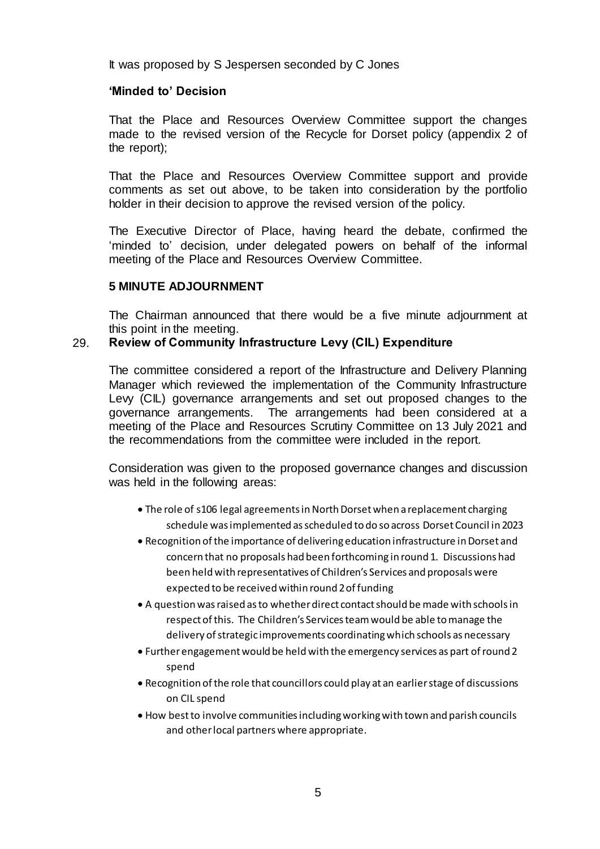It was proposed by S Jespersen seconded by C Jones

## **'Minded to' Decision**

That the Place and Resources Overview Committee support the changes made to the revised version of the Recycle for Dorset policy (appendix 2 of the report);

That the Place and Resources Overview Committee support and provide comments as set out above, to be taken into consideration by the portfolio holder in their decision to approve the revised version of the policy.

The Executive Director of Place, having heard the debate, confirmed the 'minded to' decision, under delegated powers on behalf of the informal meeting of the Place and Resources Overview Committee.

### **5 MINUTE ADJOURNMENT**

The Chairman announced that there would be a five minute adjournment at this point in the meeting.

### 29. **Review of Community Infrastructure Levy (CIL) Expenditure**

The committee considered a report of the Infrastructure and Delivery Planning Manager which reviewed the implementation of the Community Infrastructure Levy (CIL) governance arrangements and set out proposed changes to the governance arrangements. The arrangements had been considered at a meeting of the Place and Resources Scrutiny Committee on 13 July 2021 and the recommendations from the committee were included in the report.

Consideration was given to the proposed governance changes and discussion was held in the following areas:

- The role of s106 legal agreements in North Dorset when a replacement charging schedule was implemented as scheduled to do so across Dorset Council in 2023
- Recognition of the importance of delivering education infrastructure in Dorset and concern that no proposals had been forthcoming in round 1. Discussions had been held with representatives of Children's Services and proposals were expected to be received within round 2 of funding
- A question was raised as to whether direct contact should be made with schools in respect of this. The Children's Services team would be able to manage the delivery of strategic improvements coordinating which schools as necessary
- Further engagement would be held with the emergency services as part of round 2 spend
- Recognition of the role that councillors could play at an earlier stage of discussions on CIL spend
- How best to involve communities including working with town and parish councils and other local partners where appropriate.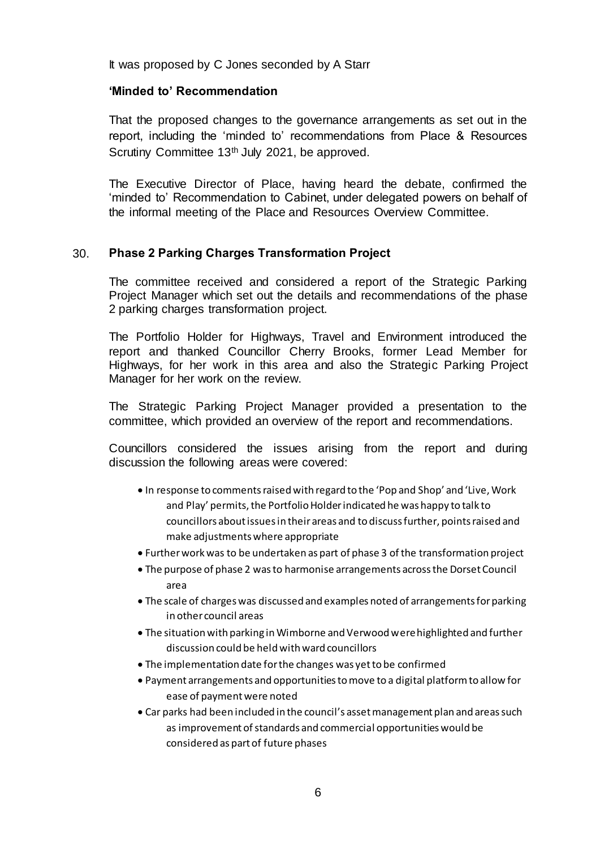It was proposed by C Jones seconded by A Starr

## **'Minded to' Recommendation**

That the proposed changes to the governance arrangements as set out in the report, including the 'minded to' recommendations from Place & Resources Scrutiny Committee 13<sup>th</sup> July 2021, be approved.

The Executive Director of Place, having heard the debate, confirmed the 'minded to' Recommendation to Cabinet, under delegated powers on behalf of the informal meeting of the Place and Resources Overview Committee.

# 30. **Phase 2 Parking Charges Transformation Project**

The committee received and considered a report of the Strategic Parking Project Manager which set out the details and recommendations of the phase 2 parking charges transformation project.

The Portfolio Holder for Highways, Travel and Environment introduced the report and thanked Councillor Cherry Brooks, former Lead Member for Highways, for her work in this area and also the Strategic Parking Project Manager for her work on the review.

The Strategic Parking Project Manager provided a presentation to the committee, which provided an overview of the report and recommendations.

Councillors considered the issues arising from the report and during discussion the following areas were covered:

- In response to comments raised with regard to the 'Pop and Shop' and 'Live, Work and Play' permits, the Portfolio Holder indicated he was happy to talk to councillors about issues in their areas and to discuss further, points raised and make adjustments where appropriate
- Further work was to be undertaken as part of phase 3 of the transformation project
- The purpose of phase 2 was to harmonise arrangements across the Dorset Council area
- The scale of charges was discussed and examples noted of arrangements for parking in other council areas
- The situation with parking in Wimborne and Verwood werehighlighted and further discussion could be held with ward councillors
- The implementation date for the changes was yet to be confirmed
- Payment arrangements and opportunities to move to a digital platform to allow for ease of payment were noted
- Car parks had been included in the council's asset management plan and areas such as improvement of standards and commercial opportunities would be considered as part of future phases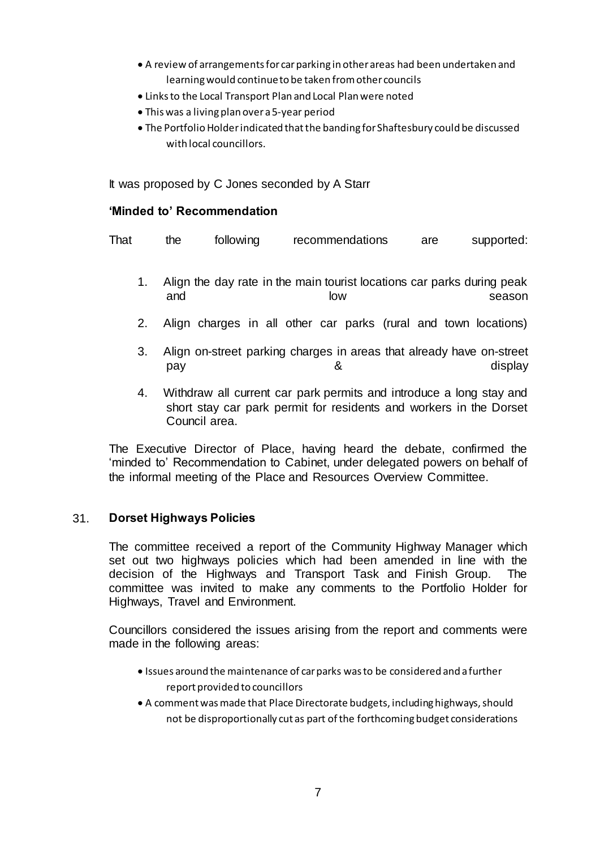- A review of arrangements for car parking in other areas had been undertaken and learning would continue to be taken from other councils
- Links to the Local Transport Plan and Local Plan were noted
- This was a living plan over a 5-year period
- The Portfolio Holder indicated that the banding for Shaftesbury could be discussed with local councillors.

It was proposed by C Jones seconded by A Starr

## **'Minded to' Recommendation**

| supported: | are | recommendations                                                               | following | the           | That |
|------------|-----|-------------------------------------------------------------------------------|-----------|---------------|------|
| season     |     | Align the day rate in the main tourist locations car parks during peak<br>low |           | and           |      |
|            |     | Align charges in all other car parks (rural and town locations)               |           | <sup>2.</sup> |      |
|            |     | Align on-street parking charges in areas that already have on-street          |           | 3.            |      |

4. Withdraw all current car park permits and introduce a long stay and short stay car park permit for residents and workers in the Dorset Council area.

pay & display

The Executive Director of Place, having heard the debate, confirmed the 'minded to' Recommendation to Cabinet, under delegated powers on behalf of the informal meeting of the Place and Resources Overview Committee.

# 31. **Dorset Highways Policies**

The committee received a report of the Community Highway Manager which set out two highways policies which had been amended in line with the decision of the Highways and Transport Task and Finish Group. The committee was invited to make any comments to the Portfolio Holder for Highways, Travel and Environment.

Councillors considered the issues arising from the report and comments were made in the following areas:

- Issues around the maintenance of car parks was to be considered and a further report provided to councillors
- A comment was made that Place Directorate budgets, including highways, should not be disproportionally cut as part of the forthcoming budget considerations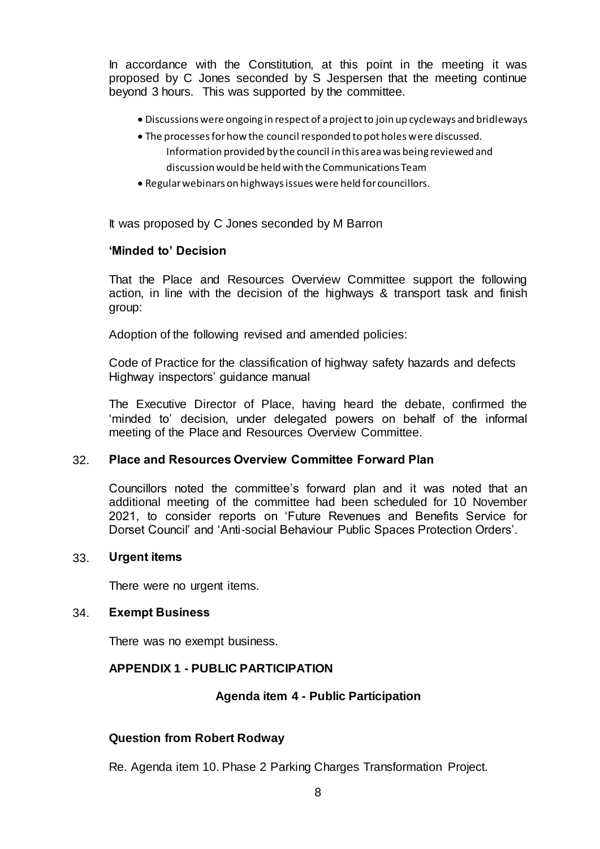In accordance with the Constitution, at this point in the meeting it was proposed by C Jones seconded by S Jespersen that the meeting continue beyond 3 hours. This was supported by the committee.

- Discussions were ongoing in respect of a project to join up cycleways and bridleways
- The processes for how the council responded to pot holes were discussed. Information provided by the council in this area was being reviewed and discussion would be held with the Communications Team
- Regular webinars on highways issues were held for councillors.

It was proposed by C Jones seconded by M Barron

## **'Minded to' Decision**

That the Place and Resources Overview Committee support the following action, in line with the decision of the highways & transport task and finish group:

Adoption of the following revised and amended policies:

Code of Practice for the classification of highway safety hazards and defects Highway inspectors' guidance manual

The Executive Director of Place, having heard the debate, confirmed the 'minded to' decision, under delegated powers on behalf of the informal meeting of the Place and Resources Overview Committee.

# 32. **Place and Resources Overview Committee Forward Plan**

Councillors noted the committee's forward plan and it was noted that an additional meeting of the committee had been scheduled for 10 November 2021, to consider reports on 'Future Revenues and Benefits Service for Dorset Council' and 'Anti-social Behaviour Public Spaces Protection Orders'.

#### 33. **Urgent items**

There were no urgent items.

#### 34. **Exempt Business**

There was no exempt business.

# **APPENDIX 1 - PUBLIC PARTICIPATION**

# **Agenda item 4 - Public Participation**

# **Question from Robert Rodway**

Re. Agenda item 10. Phase 2 Parking Charges Transformation Project.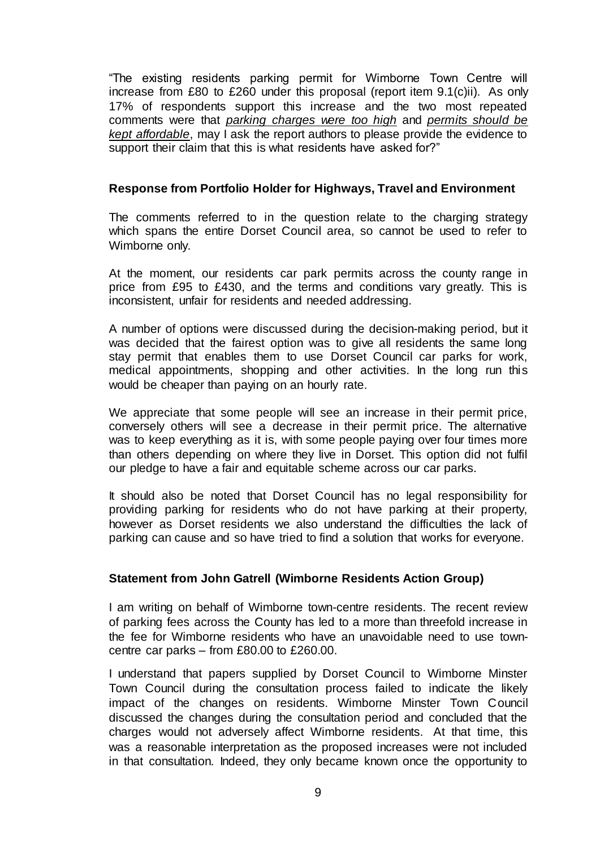"The existing residents parking permit for Wimborne Town Centre will increase from £80 to £260 under this proposal (report item 9.1(c)ii). As only 17% of respondents support this increase and the two most repeated comments were that *parking charges were too high* and *permits should be kept affordable*, may I ask the report authors to please provide the evidence to support their claim that this is what residents have asked for?"

## **Response from Portfolio Holder for Highways, Travel and Environment**

The comments referred to in the question relate to the charging strategy which spans the entire Dorset Council area, so cannot be used to refer to Wimborne only.

At the moment, our residents car park permits across the county range in price from £95 to £430, and the terms and conditions vary greatly. This is inconsistent, unfair for residents and needed addressing.

A number of options were discussed during the decision-making period, but it was decided that the fairest option was to give all residents the same long stay permit that enables them to use Dorset Council car parks for work. medical appointments, shopping and other activities. In the long run this would be cheaper than paying on an hourly rate.

We appreciate that some people will see an increase in their permit price, conversely others will see a decrease in their permit price. The alternative was to keep everything as it is, with some people paying over four times more than others depending on where they live in Dorset. This option did not fulfil our pledge to have a fair and equitable scheme across our car parks.

It should also be noted that Dorset Council has no legal responsibility for providing parking for residents who do not have parking at their property, however as Dorset residents we also understand the difficulties the lack of parking can cause and so have tried to find a solution that works for everyone.

#### **Statement from John Gatrell (Wimborne Residents Action Group)**

I am writing on behalf of Wimborne town-centre residents. The recent review of parking fees across the County has led to a more than threefold increase in the fee for Wimborne residents who have an unavoidable need to use towncentre car parks – from £80.00 to £260.00.

I understand that papers supplied by Dorset Council to Wimborne Minster Town Council during the consultation process failed to indicate the likely impact of the changes on residents. Wimborne Minster Town Council discussed the changes during the consultation period and concluded that the charges would not adversely affect Wimborne residents. At that time, this was a reasonable interpretation as the proposed increases were not included in that consultation. Indeed, they only became known once the opportunity to